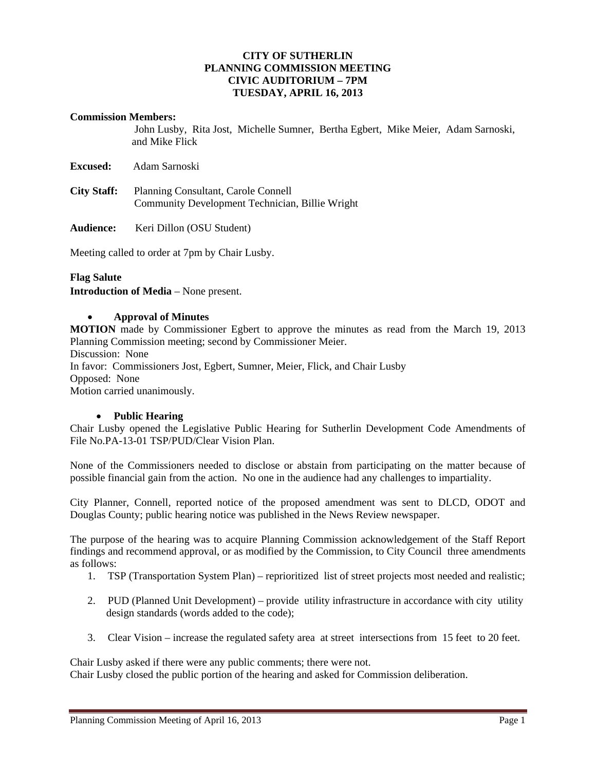## **CITY OF SUTHERLIN PLANNING COMMISSION MEETING CIVIC AUDITORIUM – 7PM TUESDAY, APRIL 16, 2013**

#### **Commission Members:**

John Lusby, Rita Jost, Michelle Sumner, Bertha Egbert, Mike Meier, Adam Sarnoski, and Mike Flick

**Excused:** Adam Sarnoski

**City Staff:** Planning Consultant, Carole Connell Community Development Technician, Billie Wright

**Audience:** Keri Dillon (OSU Student)

Meeting called to order at 7pm by Chair Lusby.

## **Flag Salute**

**Introduction of Media** – None present.

## **Approval of Minutes**

**MOTION** made by Commissioner Egbert to approve the minutes as read from the March 19, 2013 Planning Commission meeting; second by Commissioner Meier.

Discussion: None

In favor: Commissioners Jost, Egbert, Sumner, Meier, Flick, and Chair Lusby Opposed:None

Motion carried unanimously.

#### **Public Hearing**

Chair Lusby opened the Legislative Public Hearing for Sutherlin Development Code Amendments of File No.PA-13-01 TSP/PUD/Clear Vision Plan.

None of the Commissioners needed to disclose or abstain from participating on the matter because of possible financial gain from the action. No one in the audience had any challenges to impartiality.

City Planner, Connell, reported notice of the proposed amendment was sent to DLCD, ODOT and Douglas County; public hearing notice was published in the News Review newspaper.

The purpose of the hearing was to acquire Planning Commission acknowledgement of the Staff Report findings and recommend approval, or as modified by the Commission, to City Council three amendments as follows:

- 1. TSP (Transportation System Plan) reprioritized list of street projects most needed and realistic;
- 2. PUD (Planned Unit Development) provide utility infrastructure in accordance with city utility design standards (words added to the code);
- 3. Clear Vision increase the regulated safety area at street intersections from 15 feet to 20 feet.

Chair Lusby asked if there were any public comments; there were not.

Chair Lusby closed the public portion of the hearing and asked for Commission deliberation.